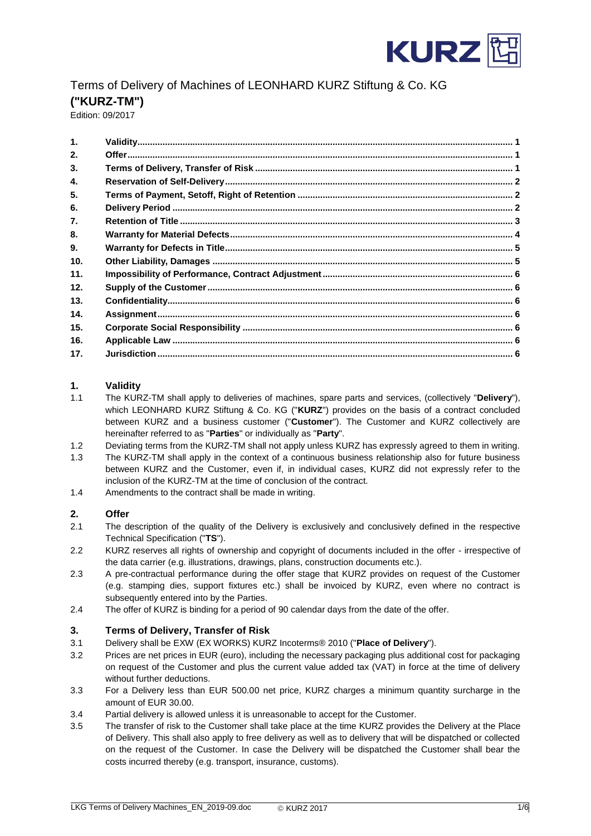

# Terms of Delivery of Machines of LEONHARD KURZ Stiftung & Co. KG **("KURZ-TM")**

Edition: 09/2017

| $\mathbf{1}$ . |  |
|----------------|--|
| 2.             |  |
| 3.             |  |
| 4.             |  |
| 5.             |  |
| 6.             |  |
| 7.             |  |
| 8.             |  |
| 9.             |  |
| 10.            |  |
| 11.            |  |
| 12.            |  |
| 13.            |  |
| 14.            |  |
| 15.            |  |
| 16.            |  |
| 17.            |  |
|                |  |

# <span id="page-0-0"></span>**1. Validity**

- 1.1 The KURZ-TM shall apply to deliveries of machines, spare parts and services, (collectively "**Delivery**"), which LEONHARD KURZ Stiftung & Co. KG ("**KURZ**") provides on the basis of a contract concluded between KURZ and a business customer ("**Customer**"). The Customer and KURZ collectively are hereinafter referred to as "**Parties**" or individually as "**Party**".
- 1.2 Deviating terms from the KURZ-TM shall not apply unless KURZ has expressly agreed to them in writing.
- 1.3 The KURZ-TM shall apply in the context of a continuous business relationship also for future business between KURZ and the Customer, even if, in individual cases, KURZ did not expressly refer to the inclusion of the KURZ-TM at the time of conclusion of the contract.
- 1.4 Amendments to the contract shall be made in writing.

## <span id="page-0-1"></span>**2. Offer**

- 2.1 The description of the quality of the Delivery is exclusively and conclusively defined in the respective Technical Specification ("**TS**").
- 2.2 KURZ reserves all rights of ownership and copyright of documents included in the offer irrespective of the data carrier (e.g. illustrations, drawings, plans, construction documents etc.).
- 2.3 A pre-contractual performance during the offer stage that KURZ provides on request of the Customer (e.g. stamping dies, support fixtures etc.) shall be invoiced by KURZ, even where no contract is subsequently entered into by the Parties.
- 2.4 The offer of KURZ is binding for a period of 90 calendar days from the date of the offer.

#### <span id="page-0-2"></span>**3. Terms of Delivery, Transfer of Risk**

- 3.1 Delivery shall be EXW (EX WORKS) KURZ Incoterms® 2010 ("**Place of Delivery**").
- 3.2 Prices are net prices in EUR (euro), including the necessary packaging plus additional cost for packaging on request of the Customer and plus the current value added tax (VAT) in force at the time of delivery without further deductions.
- 3.3 For a Delivery less than EUR 500.00 net price, KURZ charges a minimum quantity surcharge in the amount of EUR 30.00.
- 3.4 Partial delivery is allowed unless it is unreasonable to accept for the Customer.
- 3.5 The transfer of risk to the Customer shall take place at the time KURZ provides the Delivery at the Place of Delivery. This shall also apply to free delivery as well as to delivery that will be dispatched or collected on the request of the Customer. In case the Delivery will be dispatched the Customer shall bear the costs incurred thereby (e.g. transport, insurance, customs).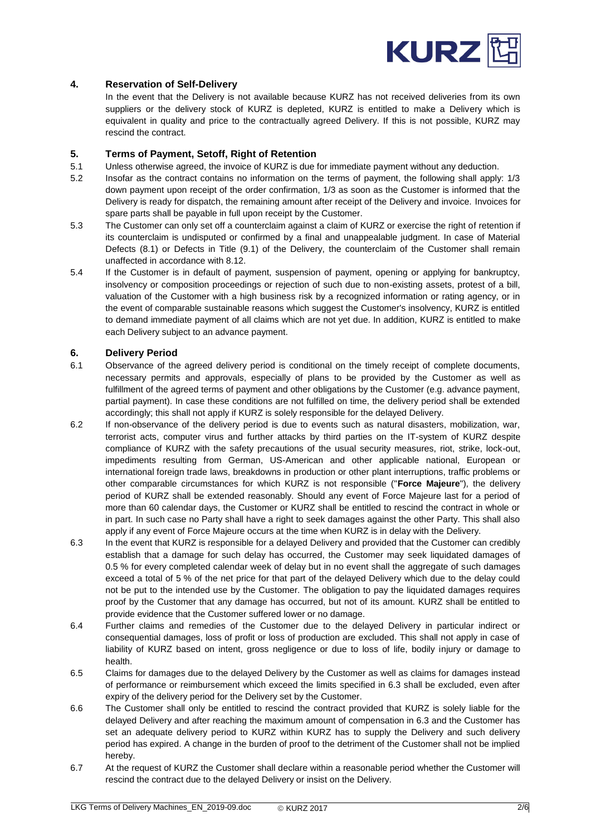

# <span id="page-1-0"></span>**4. Reservation of Self-Delivery**

In the event that the Delivery is not available because KURZ has not received deliveries from its own suppliers or the delivery stock of KURZ is depleted, KURZ is entitled to make a Delivery which is equivalent in quality and price to the contractually agreed Delivery. If this is not possible, KURZ may rescind the contract.

#### <span id="page-1-1"></span>**5. Terms of Payment, Setoff, Right of Retention**

- 5.1 Unless otherwise agreed, the invoice of KURZ is due for immediate payment without any deduction.
- 5.2 Insofar as the contract contains no information on the terms of payment, the following shall apply: 1/3 down payment upon receipt of the order confirmation, 1/3 as soon as the Customer is informed that the Delivery is ready for dispatch, the remaining amount after receipt of the Delivery and invoice. Invoices for spare parts shall be payable in full upon receipt by the Customer.
- 5.3 The Customer can only set off a counterclaim against a claim of KURZ or exercise the right of retention if its counterclaim is undisputed or confirmed by a final and unappealable judgment. In case of Material Defects (8.1) or Defects in Title (9.1) of the Delivery, the counterclaim of the Customer shall remain unaffected in accordance with 8.12.
- 5.4 If the Customer is in default of payment, suspension of payment, opening or applying for bankruptcy, insolvency or composition proceedings or rejection of such due to non-existing assets, protest of a bill, valuation of the Customer with a high business risk by a recognized information or rating agency, or in the event of comparable sustainable reasons which suggest the Customer's insolvency, KURZ is entitled to demand immediate payment of all claims which are not yet due. In addition, KURZ is entitled to make each Delivery subject to an advance payment.

#### <span id="page-1-2"></span>**6. Delivery Period**

- 6.1 Observance of the agreed delivery period is conditional on the timely receipt of complete documents, necessary permits and approvals, especially of plans to be provided by the Customer as well as fulfillment of the agreed terms of payment and other obligations by the Customer (e.g. advance payment, partial payment). In case these conditions are not fulfilled on time, the delivery period shall be extended accordingly; this shall not apply if KURZ is solely responsible for the delayed Delivery.
- 6.2 If non-observance of the delivery period is due to events such as natural disasters, mobilization, war, terrorist acts, computer virus and further attacks by third parties on the IT-system of KURZ despite compliance of KURZ with the safety precautions of the usual security measures, riot, strike, lock-out, impediments resulting from German, US-American and other applicable national, European or international foreign trade laws, breakdowns in production or other plant interruptions, traffic problems or other comparable circumstances for which KURZ is not responsible ("**Force Majeure**"), the delivery period of KURZ shall be extended reasonably. Should any event of Force Majeure last for a period of more than 60 calendar days, the Customer or KURZ shall be entitled to rescind the contract in whole or in part. In such case no Party shall have a right to seek damages against the other Party. This shall also apply if any event of Force Majeure occurs at the time when KURZ is in delay with the Delivery.
- 6.3 In the event that KURZ is responsible for a delayed Delivery and provided that the Customer can credibly establish that a damage for such delay has occurred, the Customer may seek liquidated damages of 0.5 % for every completed calendar week of delay but in no event shall the aggregate of such damages exceed a total of 5 % of the net price for that part of the delayed Delivery which due to the delay could not be put to the intended use by the Customer. The obligation to pay the liquidated damages requires proof by the Customer that any damage has occurred, but not of its amount. KURZ shall be entitled to provide evidence that the Customer suffered lower or no damage.
- 6.4 Further claims and remedies of the Customer due to the delayed Delivery in particular indirect or consequential damages, loss of profit or loss of production are excluded. This shall not apply in case of liability of KURZ based on intent, gross negligence or due to loss of life, bodily injury or damage to health.
- 6.5 Claims for damages due to the delayed Delivery by the Customer as well as claims for damages instead of performance or reimbursement which exceed the limits specified in 6.3 shall be excluded, even after expiry of the delivery period for the Delivery set by the Customer.
- 6.6 The Customer shall only be entitled to rescind the contract provided that KURZ is solely liable for the delayed Delivery and after reaching the maximum amount of compensation in 6.3 and the Customer has set an adequate delivery period to KURZ within KURZ has to supply the Delivery and such delivery period has expired. A change in the burden of proof to the detriment of the Customer shall not be implied hereby.
- 6.7 At the request of KURZ the Customer shall declare within a reasonable period whether the Customer will rescind the contract due to the delayed Delivery or insist on the Delivery.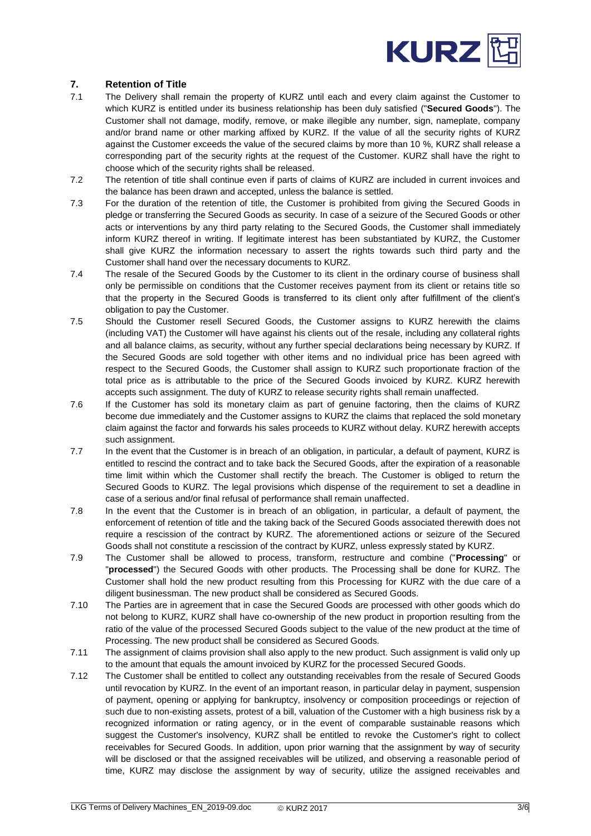

# <span id="page-2-0"></span>**7. Retention of Title**

- 7.1 The Delivery shall remain the property of KURZ until each and every claim against the Customer to which KURZ is entitled under its business relationship has been duly satisfied ("**Secured Goods**"). The Customer shall not damage, modify, remove, or make illegible any number, sign, nameplate, company and/or brand name or other marking affixed by KURZ. If the value of all the security rights of KURZ against the Customer exceeds the value of the secured claims by more than 10 %, KURZ shall release a corresponding part of the security rights at the request of the Customer. KURZ shall have the right to choose which of the security rights shall be released.
- 7.2 The retention of title shall continue even if parts of claims of KURZ are included in current invoices and the balance has been drawn and accepted, unless the balance is settled.
- 7.3 For the duration of the retention of title, the Customer is prohibited from giving the Secured Goods in pledge or transferring the Secured Goods as security. In case of a seizure of the Secured Goods or other acts or interventions by any third party relating to the Secured Goods, the Customer shall immediately inform KURZ thereof in writing. If legitimate interest has been substantiated by KURZ, the Customer shall give KURZ the information necessary to assert the rights towards such third party and the Customer shall hand over the necessary documents to KURZ.
- 7.4 The resale of the Secured Goods by the Customer to its client in the ordinary course of business shall only be permissible on conditions that the Customer receives payment from its client or retains title so that the property in the Secured Goods is transferred to its client only after fulfillment of the client's obligation to pay the Customer.
- 7.5 Should the Customer resell Secured Goods, the Customer assigns to KURZ herewith the claims (including VAT) the Customer will have against his clients out of the resale, including any collateral rights and all balance claims, as security, without any further special declarations being necessary by KURZ. If the Secured Goods are sold together with other items and no individual price has been agreed with respect to the Secured Goods, the Customer shall assign to KURZ such proportionate fraction of the total price as is attributable to the price of the Secured Goods invoiced by KURZ. KURZ herewith accepts such assignment. The duty of KURZ to release security rights shall remain unaffected.
- 7.6 If the Customer has sold its monetary claim as part of genuine factoring, then the claims of KURZ become due immediately and the Customer assigns to KURZ the claims that replaced the sold monetary claim against the factor and forwards his sales proceeds to KURZ without delay. KURZ herewith accepts such assignment.
- 7.7 In the event that the Customer is in breach of an obligation, in particular, a default of payment, KURZ is entitled to rescind the contract and to take back the Secured Goods, after the expiration of a reasonable time limit within which the Customer shall rectify the breach. The Customer is obliged to return the Secured Goods to KURZ. The legal provisions which dispense of the requirement to set a deadline in case of a serious and/or final refusal of performance shall remain unaffected.
- 7.8 In the event that the Customer is in breach of an obligation, in particular, a default of payment, the enforcement of retention of title and the taking back of the Secured Goods associated therewith does not require a rescission of the contract by KURZ. The aforementioned actions or seizure of the Secured Goods shall not constitute a rescission of the contract by KURZ, unless expressly stated by KURZ.
- 7.9 The Customer shall be allowed to process, transform, restructure and combine ("**Processing**" or "**processed**") the Secured Goods with other products. The Processing shall be done for KURZ. The Customer shall hold the new product resulting from this Processing for KURZ with the due care of a diligent businessman. The new product shall be considered as Secured Goods.
- 7.10 The Parties are in agreement that in case the Secured Goods are processed with other goods which do not belong to KURZ, KURZ shall have co-ownership of the new product in proportion resulting from the ratio of the value of the processed Secured Goods subject to the value of the new product at the time of Processing. The new product shall be considered as Secured Goods.
- 7.11 The assignment of claims provision shall also apply to the new product. Such assignment is valid only up to the amount that equals the amount invoiced by KURZ for the processed Secured Goods.
- 7.12 The Customer shall be entitled to collect any outstanding receivables from the resale of Secured Goods until revocation by KURZ. In the event of an important reason, in particular delay in payment, suspension of payment, opening or applying for bankruptcy, insolvency or composition proceedings or rejection of such due to non-existing assets, protest of a bill, valuation of the Customer with a high business risk by a recognized information or rating agency, or in the event of comparable sustainable reasons which suggest the Customer's insolvency, KURZ shall be entitled to revoke the Customer's right to collect receivables for Secured Goods. In addition, upon prior warning that the assignment by way of security will be disclosed or that the assigned receivables will be utilized, and observing a reasonable period of time, KURZ may disclose the assignment by way of security, utilize the assigned receivables and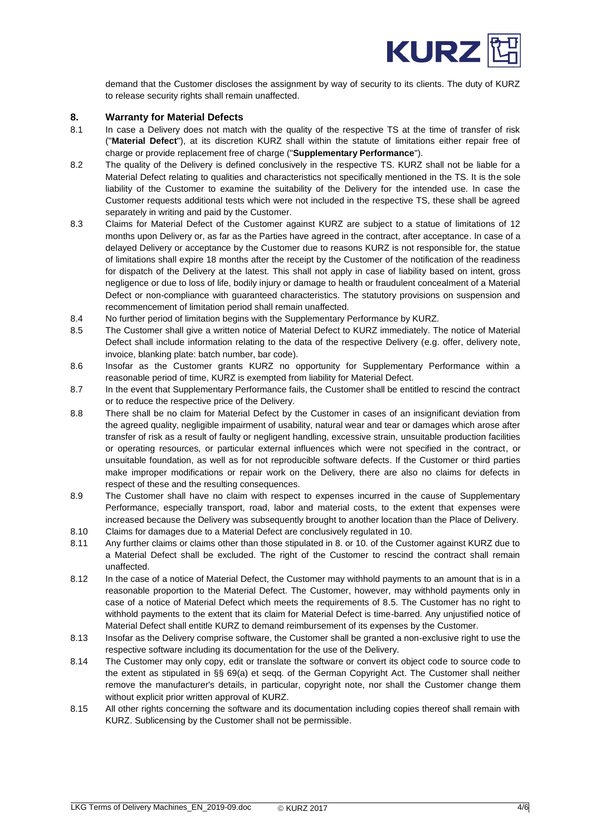

demand that the Customer discloses the assignment by way of security to its clients. The duty of KURZ to release security rights shall remain unaffected.

#### <span id="page-3-0"></span>**8. Warranty for Material Defects**

- 8.1 In case a Delivery does not match with the quality of the respective TS at the time of transfer of risk ("**Material Defect**"), at its discretion KURZ shall within the statute of limitations either repair free of charge or provide replacement free of charge ("**Supplementary Performance**").
- 8.2 The quality of the Delivery is defined conclusively in the respective TS. KURZ shall not be liable for a Material Defect relating to qualities and characteristics not specifically mentioned in the TS. It is the sole liability of the Customer to examine the suitability of the Delivery for the intended use. In case the Customer requests additional tests which were not included in the respective TS, these shall be agreed separately in writing and paid by the Customer.
- 8.3 Claims for Material Defect of the Customer against KURZ are subject to a statue of limitations of 12 months upon Delivery or, as far as the Parties have agreed in the contract, after acceptance. In case of a delayed Delivery or acceptance by the Customer due to reasons KURZ is not responsible for, the statue of limitations shall expire 18 months after the receipt by the Customer of the notification of the readiness for dispatch of the Delivery at the latest. This shall not apply in case of liability based on intent, gross negligence or due to loss of life, bodily injury or damage to health or fraudulent concealment of a Material Defect or non-compliance with guaranteed characteristics. The statutory provisions on suspension and recommencement of limitation period shall remain unaffected.
- 8.4 No further period of limitation begins with the Supplementary Performance by KURZ.
- 8.5 The Customer shall give a written notice of Material Defect to KURZ immediately. The notice of Material Defect shall include information relating to the data of the respective Delivery (e.g. offer, delivery note, invoice, blanking plate: batch number, bar code).
- 8.6 Insofar as the Customer grants KURZ no opportunity for Supplementary Performance within a reasonable period of time, KURZ is exempted from liability for Material Defect.
- 8.7 In the event that Supplementary Performance fails, the Customer shall be entitled to rescind the contract or to reduce the respective price of the Delivery.
- 8.8 There shall be no claim for Material Defect by the Customer in cases of an insignificant deviation from the agreed quality, negligible impairment of usability, natural wear and tear or damages which arose after transfer of risk as a result of faulty or negligent handling, excessive strain, unsuitable production facilities or operating resources, or particular external influences which were not specified in the contract, or unsuitable foundation, as well as for not reproducible software defects. If the Customer or third parties make improper modifications or repair work on the Delivery, there are also no claims for defects in respect of these and the resulting consequences.
- 8.9 The Customer shall have no claim with respect to expenses incurred in the cause of Supplementary Performance, especially transport, road, labor and material costs, to the extent that expenses were increased because the Delivery was subsequently brought to another location than the Place of Delivery.
- 8.10 Claims for damages due to a Material Defect are conclusively regulated in 10.
- 8.11 Any further claims or claims other than those stipulated in 8. or 10. of the Customer against KURZ due to a Material Defect shall be excluded. The right of the Customer to rescind the contract shall remain unaffected.
- 8.12 In the case of a notice of Material Defect, the Customer may withhold payments to an amount that is in a reasonable proportion to the Material Defect. The Customer, however, may withhold payments only in case of a notice of Material Defect which meets the requirements of 8.5. The Customer has no right to withhold payments to the extent that its claim for Material Defect is time-barred. Any unjustified notice of Material Defect shall entitle KURZ to demand reimbursement of its expenses by the Customer.
- 8.13 Insofar as the Delivery comprise software, the Customer shall be granted a non-exclusive right to use the respective software including its documentation for the use of the Delivery.
- 8.14 The Customer may only copy, edit or translate the software or convert its object code to source code to the extent as stipulated in §§ 69(a) et seqq. of the German Copyright Act. The Customer shall neither remove the manufacturer's details, in particular, copyright note, nor shall the Customer change them without explicit prior written approval of KURZ.
- 8.15 All other rights concerning the software and its documentation including copies thereof shall remain with KURZ. Sublicensing by the Customer shall not be permissible.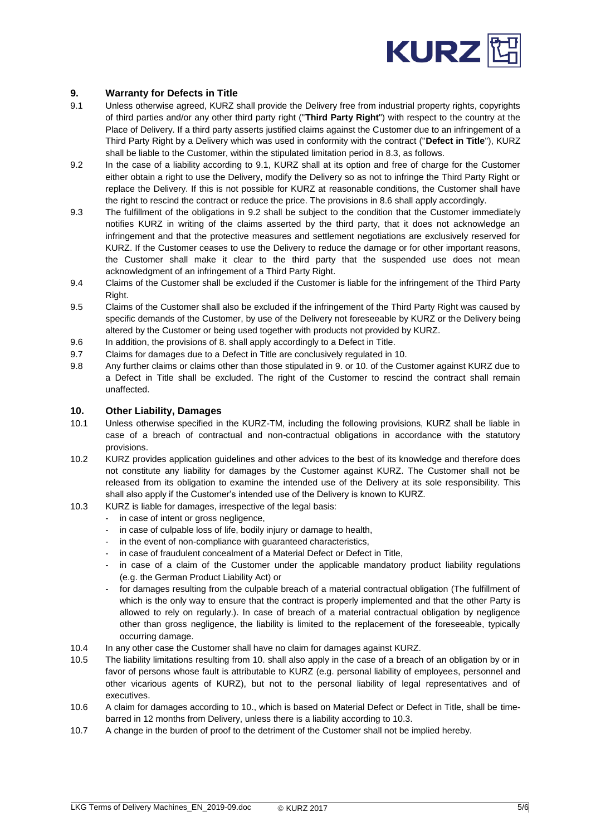

# <span id="page-4-0"></span>**9. Warranty for Defects in Title**

- 9.1 Unless otherwise agreed, KURZ shall provide the Delivery free from industrial property rights, copyrights of third parties and/or any other third party right ("**Third Party Right**") with respect to the country at the Place of Delivery. If a third party asserts justified claims against the Customer due to an infringement of a Third Party Right by a Delivery which was used in conformity with the contract ("**Defect in Title**"), KURZ shall be liable to the Customer, within the stipulated limitation period in 8.3, as follows.
- 9.2 In the case of a liability according to 9.1, KURZ shall at its option and free of charge for the Customer either obtain a right to use the Delivery, modify the Delivery so as not to infringe the Third Party Right or replace the Delivery. If this is not possible for KURZ at reasonable conditions, the Customer shall have the right to rescind the contract or reduce the price. The provisions in 8.6 shall apply accordingly.
- 9.3 The fulfillment of the obligations in 9.2 shall be subject to the condition that the Customer immediately notifies KURZ in writing of the claims asserted by the third party, that it does not acknowledge an infringement and that the protective measures and settlement negotiations are exclusively reserved for KURZ. If the Customer ceases to use the Delivery to reduce the damage or for other important reasons, the Customer shall make it clear to the third party that the suspended use does not mean acknowledgment of an infringement of a Third Party Right.
- 9.4 Claims of the Customer shall be excluded if the Customer is liable for the infringement of the Third Party Right.
- 9.5 Claims of the Customer shall also be excluded if the infringement of the Third Party Right was caused by specific demands of the Customer, by use of the Delivery not foreseeable by KURZ or the Delivery being altered by the Customer or being used together with products not provided by KURZ.
- 9.6 In addition, the provisions of 8. shall apply accordingly to a Defect in Title.
- 9.7 Claims for damages due to a Defect in Title are conclusively regulated in 10.
- 9.8 Any further claims or claims other than those stipulated in 9. or 10. of the Customer against KURZ due to a Defect in Title shall be excluded. The right of the Customer to rescind the contract shall remain unaffected.

# <span id="page-4-1"></span>**10. Other Liability, Damages**

- 10.1 Unless otherwise specified in the KURZ-TM, including the following provisions, KURZ shall be liable in case of a breach of contractual and non-contractual obligations in accordance with the statutory provisions.
- 10.2 KURZ provides application guidelines and other advices to the best of its knowledge and therefore does not constitute any liability for damages by the Customer against KURZ. The Customer shall not be released from its obligation to examine the intended use of the Delivery at its sole responsibility. This shall also apply if the Customer's intended use of the Delivery is known to KURZ.
- 10.3 KURZ is liable for damages, irrespective of the legal basis:
	- in case of intent or gross negligence,
	- in case of culpable loss of life, bodily injury or damage to health,
	- in the event of non-compliance with guaranteed characteristics,
	- in case of fraudulent concealment of a Material Defect or Defect in Title,
	- in case of a claim of the Customer under the applicable mandatory product liability regulations (e.g. the German Product Liability Act) or
	- for damages resulting from the culpable breach of a material contractual obligation (The fulfillment of which is the only way to ensure that the contract is properly implemented and that the other Party is allowed to rely on regularly.). In case of breach of a material contractual obligation by negligence other than gross negligence, the liability is limited to the replacement of the foreseeable, typically occurring damage.
- 10.4 In any other case the Customer shall have no claim for damages against KURZ.
- 10.5 The liability limitations resulting from 10. shall also apply in the case of a breach of an obligation by or in favor of persons whose fault is attributable to KURZ (e.g. personal liability of employees, personnel and other vicarious agents of KURZ), but not to the personal liability of legal representatives and of executives.
- 10.6 A claim for damages according to 10., which is based on Material Defect or Defect in Title, shall be timebarred in 12 months from Delivery, unless there is a liability according to 10.3.
- 10.7 A change in the burden of proof to the detriment of the Customer shall not be implied hereby.